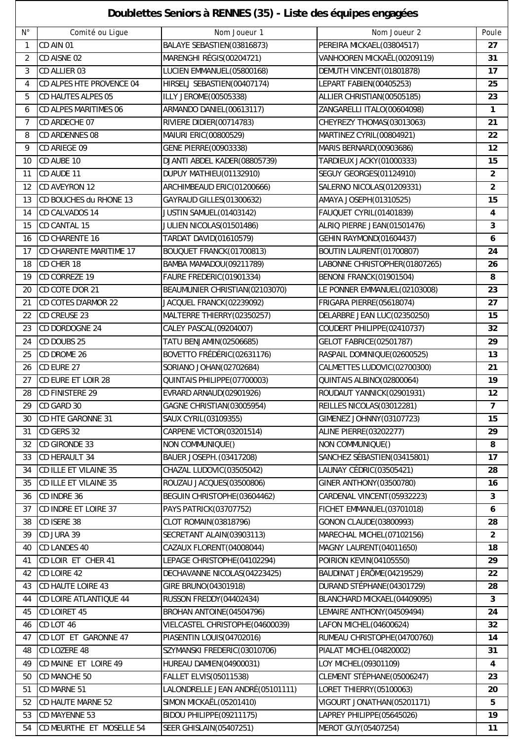## **Doublettes Seniors à RENNES (35) - Liste des équipes engagées**

 $\overline{\phantom{a}}$ 

|                | Doublettes Seniors à RENNES (35) - Liste des équipes engagées |                                  |                                 |                |  |  |  |  |
|----------------|---------------------------------------------------------------|----------------------------------|---------------------------------|----------------|--|--|--|--|
| $N^{\circ}$    | Comité ou Ligue                                               | Nom Joueur 1                     | Nom Joueur 2                    | Poule          |  |  |  |  |
| $\mathbf{1}$   | CD AIN 01                                                     | BALAYE SEBASTIEN(03816873)       | PEREIRA MICKAEL(03804517)       | 27             |  |  |  |  |
| $\overline{2}$ | CD AISNE 02                                                   | MARENGHI RÉGIS(00204721)         | VANHOOREN MICKAËL(00209119)     | 31             |  |  |  |  |
| 3              | CD ALLIER 03                                                  | LUCIEN EMMANUEL(05800168)        | DEMUTH VINCENT(01801878)        | 17             |  |  |  |  |
| 4              | CD ALPES HTE PROVENCE 04                                      | HIRSELJ SEBASTIEN(00407174)      | LEPART FABIEN(00405253)         | 25             |  |  |  |  |
| 5              | <b>CD HAUTES ALPES 05</b>                                     | ILLY JEROME(00505338)            | ALLIER CHRISTIAN(00505185)      | 23             |  |  |  |  |
| 6              | <b>CD ALPES MARITIMES 06</b>                                  | ARMANDO DANIEL (00613117)        | ZANGARELLI ITALO(00604098)      | $\mathbf{1}$   |  |  |  |  |
| 7              | CD ARDECHE 07                                                 | RIVIERE DIDIER(00714783)         | CHEYREZY THOMAS(03013063)       | 21             |  |  |  |  |
| 8              | <b>CD ARDENNES 08</b>                                         | MAIURI ERIC(00800529)            | MARTINEZ CYRIL(00804921)        | 22             |  |  |  |  |
| 9              | CD ARIEGE 09                                                  | GENE PIERRE(00903338)            | MARIS BERNARD(00903686)         | 12             |  |  |  |  |
| 10             | CD AUBE 10                                                    | DJANTI ABDEL KADER(08805739)     | TARDIEUX JACKY(01000333)        | 15             |  |  |  |  |
| 11             | CD AUDE 11                                                    | DUPUY MATHIEU(01132910)          | SEGUY GEORGES(01124910)         | $\overline{2}$ |  |  |  |  |
| 12             | CD AVEYRON 12                                                 | ARCHIMBEAUD ERIC(01200666)       | SALERNO NICOLAS(01209331)       | $\overline{c}$ |  |  |  |  |
| 13             | CD BOUCHES du RHONE 13                                        | <b>GAYRAUD GILLES(01300632)</b>  | AMAYA JOSEPH (01310525)         | 15             |  |  |  |  |
| 14             | CD CALVADOS 14                                                | JUSTIN SAMUEL(01403142)          | FAUQUET CYRIL(01401839)         | 4              |  |  |  |  |
| 15             | CD CANTAL 15                                                  | JULIEN NICOLAS(01501486)         | ALRIQ PIERRE JEAN(01501476)     | 3              |  |  |  |  |
| 16             | <b>CD CHARENTE 16</b>                                         | TARDAT DAVID(01610579)           | <b>GEHIN RAYMOND(01604437)</b>  | 6              |  |  |  |  |
| 17             | CD CHARENTE MARITIME 17                                       | BOUQUET FRANCK(01700813)         | BOUTIN LAURENT (01700807)       | 24             |  |  |  |  |
| 18             | CD CHER 18                                                    | BAMBA MAMADOU(09211789)          | LABONNE CHRISTOPHER(01807265)   | 26             |  |  |  |  |
| 19             | CD CORREZE 19                                                 | FAURE FREDERIC(01901334)         | BENONI FRANCK(01901504)         | 8              |  |  |  |  |
| 20             | CD COTE D'OR 21                                               | BEAUMUNIER CHRISTIAN(02103070)   | LE PONNER EMMANUEL(02103008)    | 23             |  |  |  |  |
| 21             | <b>CD COTES D'ARMOR 22</b>                                    | JACQUEL FRANCK(02239092)         | FRIGARA PIERRE(05618074)        | 27             |  |  |  |  |
| 22             | <b>CD CREUSE 23</b>                                           | MALTERRE THIERRY(02350257)       | DELARBRE JEAN LUC(02350250)     | 15             |  |  |  |  |
| 23             | CD DORDOGNE 24                                                | CALEY PASCAL(09204007)           | COUDERT PHILIPPE(02410737)      | 32             |  |  |  |  |
| 24             | CD DOUBS 25                                                   | TATU BENJAMIN(02506685)          | <b>GELOT FABRICE(02501787)</b>  | 29             |  |  |  |  |
| 25             | CD DROME 26                                                   | BOVETTO FRÉDÉRIC(02631176)       | RASPAIL DOMINIQUE(02600525)     | 13             |  |  |  |  |
| 26             | CD EURE 27                                                    | SORIANO JOHAN(02702684)          | CALMETTES LUDOVIC(02700300)     | 21             |  |  |  |  |
| 27             | CD EURE ET LOIR 28                                            | QUINTAIS PHILIPPE(07700003)      | QUINTAIS ALBINO(02800064)       | 19             |  |  |  |  |
| 28             | <b>CD FINISTERE 29</b>                                        | EVRARD ARNAUD(02901926)          | ROUDAUT YANNICK(02901931)       | 12             |  |  |  |  |
| 29             | CD GARD 30                                                    | GAGNE CHRISTIAN(03005954)        | REILLES NICOLAS(03012281)       | 7              |  |  |  |  |
| 30             | CD HTE GARONNE 31                                             | SAUX CYRIL(03109355)             | GIMENEZ JOHNNY(03107723)        | 15             |  |  |  |  |
| 31             | CD GERS 32                                                    | CARPENE VICTOR(03201514)         | <b>ALINE PIERRE(03202277)</b>   | 29             |  |  |  |  |
| 32             | <b>CD GIRONDE 33</b>                                          | NON COMMUNIQUE()                 | NON COMMUNIQUE()                | 8              |  |  |  |  |
| 33             | CD HERAULT 34                                                 | BAUER JOSEPH. (03417208)         | SANCHEZ SÉBASTIEN(03415801)     | 17             |  |  |  |  |
| 34             | CD ILLE ET VILAINE 35                                         | CHAZAL LUDOVIC(03505042)         | LAUNAY CÉDRIC(03505421)         | 28             |  |  |  |  |
| 35             | CD ILLE ET VILAINE 35                                         | ROUZAU JACQUES(03500806)         | <b>GINER ANTHONY (03500780)</b> | 16             |  |  |  |  |
| 36             | CD INDRE 36                                                   | BEGUIN CHRISTOPHE(03604462)      | CARDENAL VINCENT(05932223)      | 3              |  |  |  |  |
| 37             | CD INDRE ET LOIRE 37                                          | PAYS PATRICK(03707752)           | FICHET EMMANUEL(03701018)       | 6              |  |  |  |  |
| 38             | CD ISERE 38                                                   | CLOT ROMAIN(03818796)            | GONON CLAUDE(03800993)          | 28             |  |  |  |  |
| 39             | CD JURA 39                                                    | SECRETANT ALAIN(03903113)        | MARECHAL MICHEL(07102156)       | $\overline{2}$ |  |  |  |  |
| 40             | <b>CD LANDES 40</b>                                           | CAZAUX FLORENT(04008044)         | MAGNY LAURENT(04011650)         | 18             |  |  |  |  |
| 41             | CD LOIR ET CHER 41                                            | LEPAGE CHRISTOPHE(04102294)      | POIRION KEVIN(04105550)         | 29             |  |  |  |  |
| 42             | CD LOIRE 42                                                   | DECHAVANNE NICOLAS(04223425)     | BAUDINAT JÉRÔME (04219529)      | 22             |  |  |  |  |
| 43             | CD HAUTE LOIRE 43                                             | GIRE BRUNO(04301918)             | DURAND STÉPHANE(04301729)       | 28             |  |  |  |  |
| 44             | CD LOIRE ATLANTIQUE 44                                        | RUSSON FREDDY(04402434)          | BLANCHARD MICKAEL(04409095)     | 3              |  |  |  |  |
| 45             | CD LOIRET 45                                                  | BROHAN ANTOINE (04504796)        | LEMAIRE ANTHONY (04509494)      | 24             |  |  |  |  |
| 46             | CD LOT 46                                                     | VIELCASTEL CHRISTOPHE(04600039)  | LAFON MICHEL(04600624)          | 32             |  |  |  |  |
| 47             | CD LOT ET GARONNE 47                                          | PIASENTIN LOUIS(04702016)        | RUMEAU CHRISTOPHE(04700760)     | 14             |  |  |  |  |
| 48             | CD LOZERE 48                                                  | SZYMANSKI FREDERIC(03010706)     | PIALAT MICHEL(04820002)         | 31             |  |  |  |  |
| 49             | CD MAINE ET LOIRE 49                                          | HUREAU DAMIEN(04900031)          | LOY MICHEL(09301109)            | 4              |  |  |  |  |
| 50             | CD MANCHE 50                                                  | FALLET ELVIS(05011538)           | CLEMENT STÉPHANE(05006247)      | 23             |  |  |  |  |
| 51             | CD MARNE 51                                                   | LALONDRELLE JEAN ANDRÉ(05101111) | LORET THIERRY(05100063)         | 20             |  |  |  |  |
| 52             | CD HAUTE MARNE 52                                             | SIMON MICKAËL(05201410)          | VIGOURT JONATHAN(05201171)      | 5              |  |  |  |  |
| 53             | CD MAYENNE 53                                                 | BIDOU PHILIPPE(09211175)         | LAPREY PHILIPPE(05645026)       | 19             |  |  |  |  |
| 54             | CD MEURTHE ET MOSELLE 54                                      | <b>SEER GHISLAIN(05407251)</b>   | MEROT GUY(05407254)             | 11             |  |  |  |  |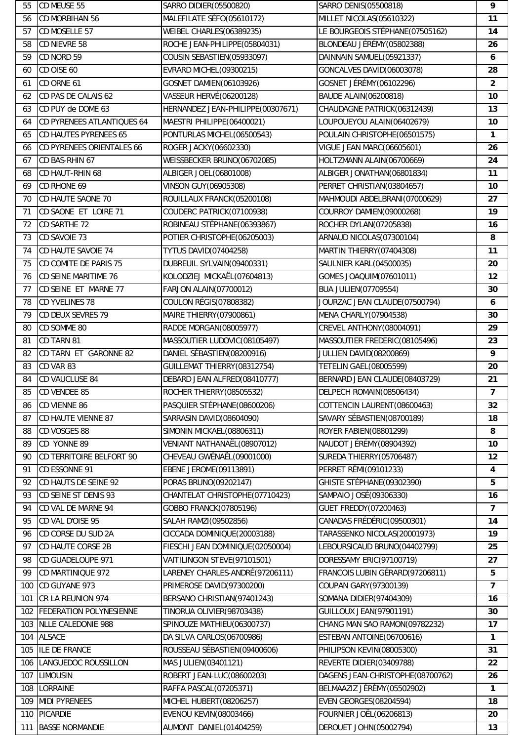| 55  | CD MEUSE 55                | SARRO DIDIER(05500820)            | SARRO DENIS (05500818)           | 9                       |
|-----|----------------------------|-----------------------------------|----------------------------------|-------------------------|
| 56  | CD MORBIHAN 56             | MALEFILATE SÉFO(05610172)         | MILLET NICOLAS(05610322)         | 11                      |
| 57  | CD MOSELLE 57              | WEIBEL CHARLES(06389235)          | LE BOURGEOIS STÉPHANE(07505162)  | 14                      |
| 58  | CD NIEVRE 58               | ROCHE JEAN-PHILIPPE(05804031)     | BLONDEAU JÉRÉMY (05802388)       | 26                      |
| 59  | CD NORD 59                 | COUSIN SEBASTIEN(05933097)        | DAINNAIN SAMUEL(05921337)        | 6                       |
| 60  | CD OISE 60                 | <b>EVRARD MICHEL(09300215)</b>    | GONCALVES DAVID(06003078)        | 28                      |
| 61  | CD ORNE 61                 | GOSNET DAMIEN(06103926)           | GOSNET JÉRÉMY(06102296)          | $\overline{2}$          |
| 62  | CD PAS DE CALAIS 62        | <b>VASSEUR HERVÉ(06200128)</b>    | <b>BAUDE ALAIN(06200818)</b>     | 10                      |
| 63  | CD PUY de DOME 63          | HERNANDEZ JEAN-PHILIPPE(00307671) | CHAUDAGNE PATRICK(06312439)      | 13                      |
| 64  | CD PYRENEES ATLANTIQUES 64 | MAESTRI PHILIPPE(06400021)        | LOUPOUEYOU ALAIN(06402679)       | 10 <sup>10</sup>        |
| 65  | CD HAUTES PYRENEES 65      | PONTURLAS MICHEL(06500543)        | POULAIN CHRISTOPHE(06501575)     | $\mathbf{1}$            |
| 66  | CD PYRENEES ORIENTALES 66  | ROGER JACKY(06602330)             | <b>VIGUE JEAN MARC(06605601)</b> | 26                      |
| 67  | CD BAS-RHIN 67             | WEISSBECKER BRUNO(06702085)       | HOLTZMANN ALAIN(06700669)        | 24                      |
| 68  | CD HAUT-RHIN 68            | ALBIGER JOEL(06801008)            | ALBIGER JONATHAN(06801834)       | 11                      |
| 69  | CD RHONE 69                | VINSON GUY (06905308)             | PERRET CHRISTIAN(03804657)       | 10                      |
| 70  | CD HAUTE SAONE 70          | ROUILLAUX FRANCK(05200108)        | MAHMOUDI ABDELBRANI(07000629)    | 27                      |
| 71  | CD SAONE ET LOIRE 71       | COUDERC PATRICK(07100938)         | COURROY DAMIEN(09000268)         | 19                      |
| 72  | CD SARTHE 72               | ROBINEAU STÉPHANE(06393867)       | ROCHER DYLAN(07205838)           | 16                      |
| 73  | CD SAVOIE 73               | POTIER CHRISTOPHE(06205003)       | ARNAUD NICOLAS(07300104)         | 8                       |
| 74  | CD HAUTE SAVOIE 74         | <b>TYTUS DAVID(07404258)</b>      | MARTIN THIERRY (07404308)        | 11                      |
| 75  | CD COMITE DE PARIS 75      | DUBREUIL SYLVAIN(09400331)        | <b>SAULNIER KARL(04500035)</b>   | 20                      |
| 76  | CD SEINE MARITIME 76       | KOLODZIEJ MICKAËL(07604813)       | GOMES JOAQUIM(07601011)          | 12                      |
| 77  | CD SEINE ET MARNE 77       | FARJON ALAIN(07700012)            | <b>BUA JULIEN(07709554)</b>      | 30                      |
| 78  | <b>CD YVELINES 78</b>      | COULON RÉGIS (07808382)           | JOURZAC JEAN CLAUDE(07500794)    | 6                       |
| 79  | CD DEUX SEVRES 79          | MAIRE THIERRY (07900861)          | MENA CHARLY(07904538)            | 30                      |
| 80  | CD SOMME 80                | RADDE MORGAN(08005977)            | CREVEL ANTHONY (08004091)        | 29                      |
|     | CD TARN 81                 |                                   |                                  | 23                      |
| 81  |                            | MASSOUTIER LUDOVIC(08105497)      | MASSOUTIER FREDERIC(08105496)    |                         |
| 82  | CD TARN ET GARONNE 82      | DANIEL SÉBASTIEN(08200916)        | JULLIEN DAVID(08200869)          | 9                       |
| 83  | CD VAR 83                  | GUILLEMAT THIERRY(08312754)       | <b>TETELIN GAEL(08005599)</b>    | 20                      |
| 84  | CD VAUCLUSE 84             | DEBARD JEAN ALFRED(08410777)      | BERNARD JEAN CLAUDE(08403729)    | 21                      |
| 85  | CD VENDEE 85               | ROCHER THIERRY (08505532)         | DELPECH ROMAIN(08506434)         | $\overline{7}$          |
| 86  | <b>CD VIENNE 86</b>        | PASQUIER STÉPHANE(08600206)       | COTTENCIN LAURENT(08600463)      | 32                      |
| 87  | <b>CD HAUTE VIENNE 87</b>  | SARRASIN DAVID(08604090)          | SAVARY SÉBASTIEN(08700189)       | 18                      |
| 88  | CD VOSGES 88               | SIMONIN MICKAEL(08806311)         | ROYER FABIEN(08801299)           | 8                       |
| 89  | CD YONNE 89                | VENIANT NATHANAËL(08907012)       | NAUDOT JÉRÉMY (08904392)         | 10                      |
| 90  | CD TERRITOIRE BELFORT 90   | CHEVEAU GWÉNAËL (09001000)        | SUREDA THIERRY(05706487)         | 12                      |
| 91  | CD ESSONNE 91              | EBENE JEROME(09113891)            | PERRET RÉMI(09101233)            | $\overline{\mathbf{4}}$ |
| 92  | CD HAUTS DE SEINE 92       | PORAS BRUNO(09202147)             | GHISTE STÉPHANE (09302390)       | 5                       |
| 93  | CD SEINE ST DENIS 93       | CHANTELAT CHRISTOPHE(07710423)    | SAMPAIO JOSÉ (09306330)          | 16                      |
| 94  | CD VAL DE MARNE 94         | GOBBO FRANCK(07805196)            | <b>GUET FREDDY(07200463)</b>     | $\overline{7}$          |
| 95  | CD VAL D'OISE 95           | SALAH RAMZI(09502856)             | CANADAS FRÉDÉRIC(09500301)       | 14                      |
| 96  | CD CORSE DU SUD 2A         | CICCADA DOMINIQUE(20003188)       | TARASSENKO NICOLAS(20001973)     | 19                      |
| 97  | CD HAUTE CORSE 2B          | FIESCHI JEAN DOMINIQUE(02050004)  | LEBOURSICAUD BRUNO(04402799)     | 25                      |
| 98  | CD GUADELOUPE 971          | VAITILINGON STEVE(97101501)       | DORESSAMY ERIC(97100719)         | 27                      |
| 99  | CD MARTINIQUE 972          | LARENEY CHARLES-ANDRÉ(97206111)   | FRANCOIS LUBIN GÉRARD(97206811)  | 5                       |
| 100 | CD GUYANE 973              | PRIMEROSE DAVID(97300200)         | COUPAN GARY (97300139)           | $\overline{7}$          |
| 101 | CR LA REUNION 974          | BERSANO CHRISTIAN (97401243)      | SOMANA DIDIER(97404309)          | 16                      |
| 102 | FEDERATION POLYNESIENNE    | TINORUA OLIVIER(98703438)         | <b>GUILLOUX JEAN(97901191)</b>   | 30                      |
| 103 | <b>NLLE CALEDONIE 988</b>  | SPINOUZE MATHIEU(06300737)        | CHANG MAN SAO RAMON(09782232)    | 17                      |
| 104 | <b>ALSACE</b>              | DA SILVA CARLOS(06700986)         | ESTEBAN ANTOINE(06700616)        | 1                       |
| 105 | <b>ILE DE FRANCE</b>       | ROUSSEAU SÉBASTIEN (09400606)     | PHILIPSON KEVIN(08005300)        | 31                      |
| 106 | LANGUEDOC ROUSSILLON       | MAS JULIEN(03401121)              | REVERTE DIDIER(03409788)         | 22                      |
| 107 | <b>LIMOUSIN</b>            | ROBERT JEAN-LUC(08600203)         | DAGENS JEAN-CHRISTOPHE(08700762) | 26                      |
| 108 | LORRAINE                   | RAFFA PASCAL(07205371)            | BELMAAZIZ JÉRÈMY (05502902)      | $\mathbf{1}$            |
| 109 | <b>MIDI PYRENEES</b>       | MICHEL HUBERT(08206257)           | <b>EVEN GEORGES(08204594)</b>    | 18                      |
| 110 | <b>PICARDIE</b>            | <b>EVENOU KEVIN(08003466)</b>     | <b>FOURNIER JOËL(06206813)</b>   | 20                      |
| 111 | <b>BASSE NORMANDIE</b>     | AUMONT DANIEL(01404259)           | <b>DEROUET JOHN(05002794)</b>    | 13                      |
|     |                            |                                   |                                  |                         |